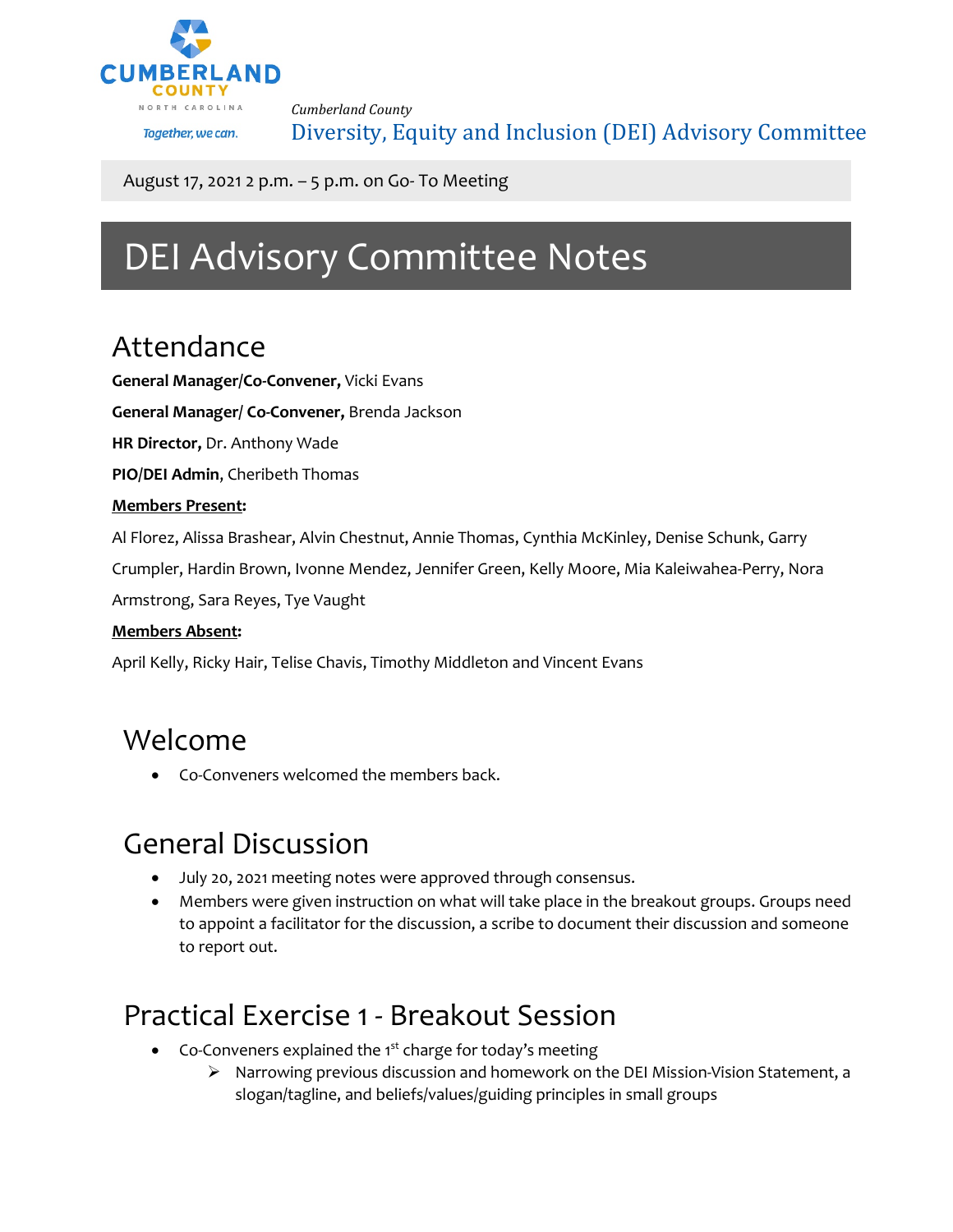

*Cumberland County* Diversity, Equity and Inclusion (DEI) Advisory Committee

August 17, 2021 2 p.m. – 5 p.m. on Go- To Meeting

# DEI Advisory Committee Notes

### Attendance

**General Manager/Co-Convener,** Vicki Evans

**General Manager/ Co-Convener,** Brenda Jackson

**HR Director,** Dr. Anthony Wade

**PIO/DEI Admin**, Cheribeth Thomas

#### **Members Present:**

Al Florez, Alissa Brashear, Alvin Chestnut, Annie Thomas, Cynthia McKinley, Denise Schunk, Garry

Crumpler, Hardin Brown, Ivonne Mendez, Jennifer Green, Kelly Moore, Mia Kaleiwahea-Perry, Nora

Armstrong, Sara Reyes, Tye Vaught

#### **Members Absent:**

April Kelly, Ricky Hair, Telise Chavis, Timothy Middleton and Vincent Evans

#### Welcome

• Co-Conveners welcomed the members back.

## General Discussion

- July 20, 2021 meeting notes were approved through consensus.
- Members were given instruction on what will take place in the breakout groups. Groups need to appoint a facilitator for the discussion, a scribe to document their discussion and someone to report out.

### Practical Exercise 1 - Breakout Session

- Co-Conveners explained the  $1<sup>st</sup>$  charge for today's meeting
	- $\triangleright$  Narrowing previous discussion and homework on the DEI Mission-Vision Statement, a slogan/tagline, and beliefs/values/guiding principles in small groups